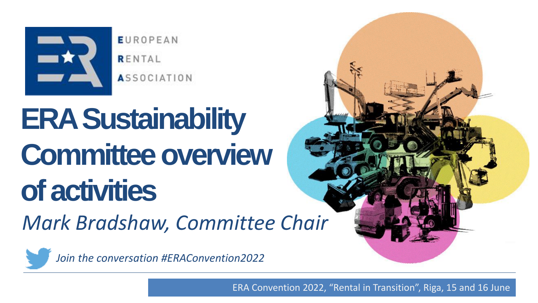

**EUROPEAN** RENTAL **ASSOCIATION** 

## **ERA Sustainability Committee overview of activities**

*Mark Bradshaw, Committee Chair* 

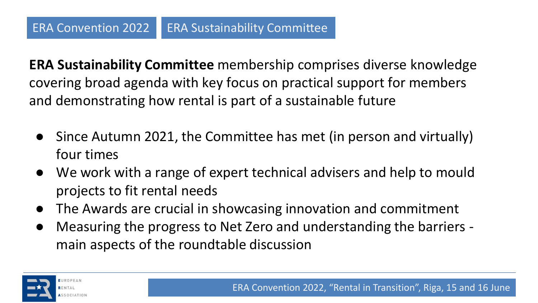**ERA Sustainability Committee** membership comprises diverse knowledge covering broad agenda with key focus on practical support for members and demonstrating how rental is part of a sustainable future

- Since Autumn 2021, the Committee has met (in person and virtually) four times
- We work with a range of expert technical advisers and help to mould projects to fit rental needs
- The Awards are crucial in showcasing innovation and commitment
- Measuring the progress to Net Zero and understanding the barriers main aspects of the roundtable discussion

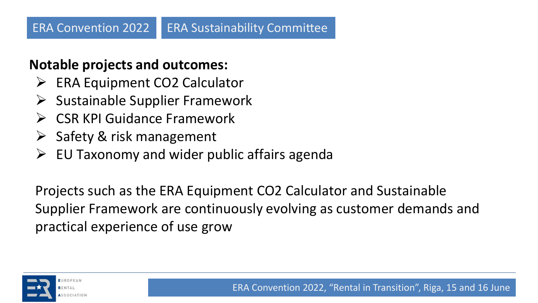## **Notable projects and outcomes:**

- ➢ ERA Equipment CO2 Calculator
- $\triangleright$  Sustainable Supplier Framework
- ➢ CSR KPI Guidance Framework
- $\triangleright$  Safety & risk management
- $\triangleright$  EU Taxonomy and wider public affairs agenda

Projects such as the ERA Equipment CO2 Calculator and Sustainable Supplier Framework are continuously evolving as customer demands and practical experience of use grow

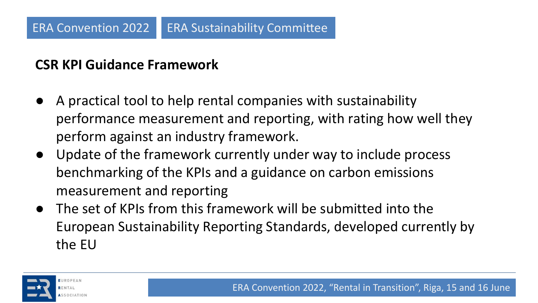## **CSR KPI Guidance Framework**

- A practical tool to help rental companies with sustainability performance measurement and reporting, with rating how well they perform against an industry framework.
- Update of the framework currently under way to include process benchmarking of the KPIs and a guidance on carbon emissions measurement and reporting
- The set of KPIs from this framework will be submitted into the European Sustainability Reporting Standards, developed currently by the EU